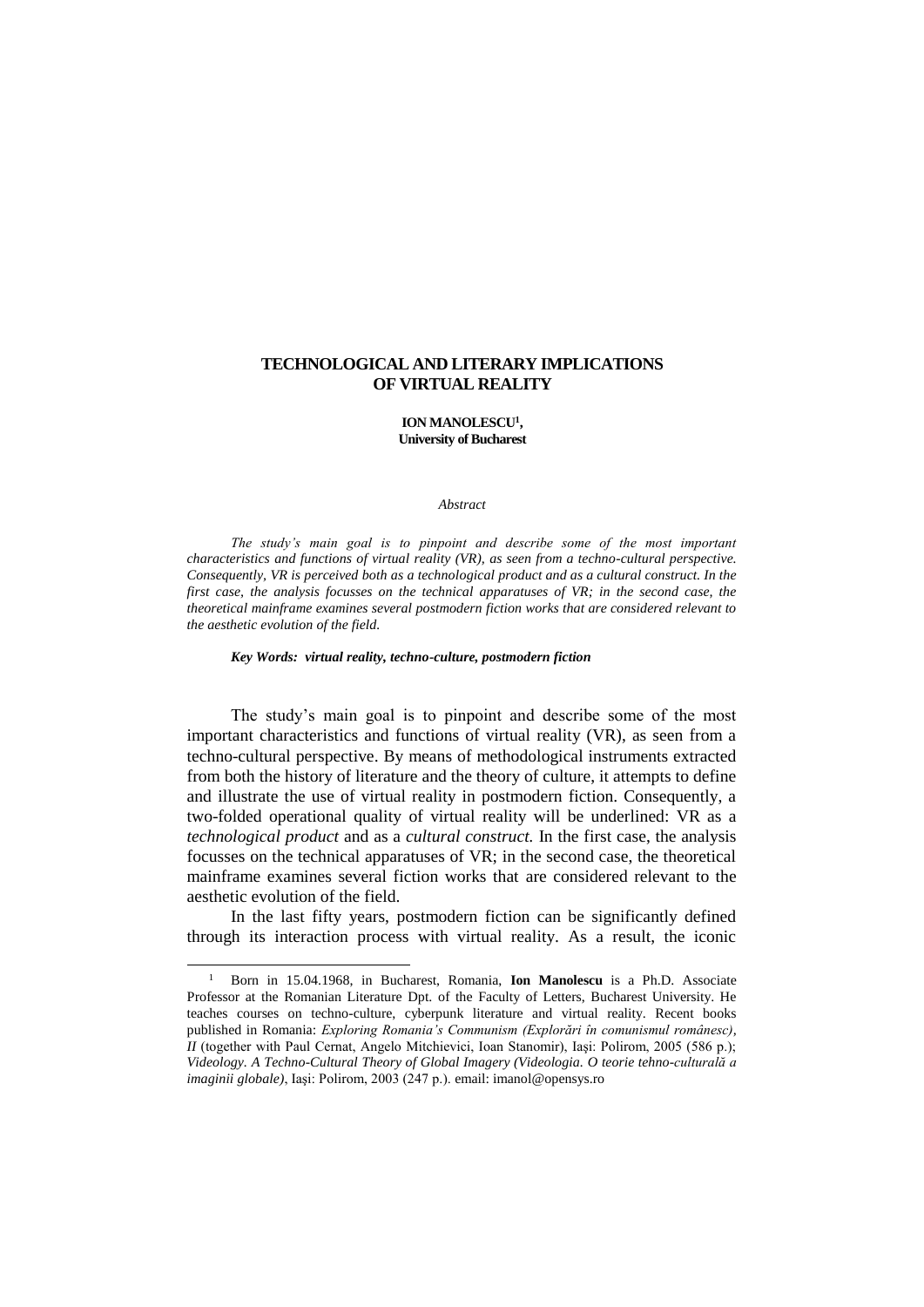# **TECHNOLOGICAL AND LITERARY IMPLICATIONS OF VIRTUAL REALITY**

### **ION MANOLESCU<sup>1</sup> , University of Bucharest**

#### *Abstract*

*The study's main goal is to pinpoint and describe some of the most important characteristics and functions of virtual reality (VR), as seen from a techno-cultural perspective. Consequently, VR is perceived both as a technological product and as a cultural construct. In the first case, the analysis focusses on the technical apparatuses of VR; in the second case, the theoretical mainframe examines several postmodern fiction works that are considered relevant to the aesthetic evolution of the field.*

### *Key Words: virtual reality, techno-culture, postmodern fiction*

The study's main goal is to pinpoint and describe some of the most important characteristics and functions of virtual reality (VR), as seen from a techno-cultural perspective. By means of methodological instruments extracted from both the history of literature and the theory of culture, it attempts to define and illustrate the use of virtual reality in postmodern fiction. Consequently, a two-folded operational quality of virtual reality will be underlined: VR as a *technological product* and as a *cultural construct.* In the first case, the analysis focusses on the technical apparatuses of VR; in the second case, the theoretical mainframe examines several fiction works that are considered relevant to the aesthetic evolution of the field.

In the last fifty years, postmodern fiction can be significantly defined through its interaction process with virtual reality. As a result, the iconic

<sup>1</sup> Born in 15.04.1968, in Bucharest, Romania, **Ion Manolescu** is a Ph.D. Associate Professor at the Romanian Literature Dpt. of the Faculty of Letters, Bucharest University. He teaches courses on techno-culture, cyberpunk literature and virtual reality. Recent books published in Romania: *Exploring Romania's Communism (Explorări în comunismul românesc), II* (together with Paul Cernat, Angelo Mitchievici, Ioan Stanomir), Iaşi: Polirom, 2005 (586 p.); *Videology. A Techno-Cultural Theory of Global Imagery (Videologia. O teorie tehno-culturală a imaginii globale)*, Iaşi: Polirom, 2003 (247 p.). email: imanol@opensys.ro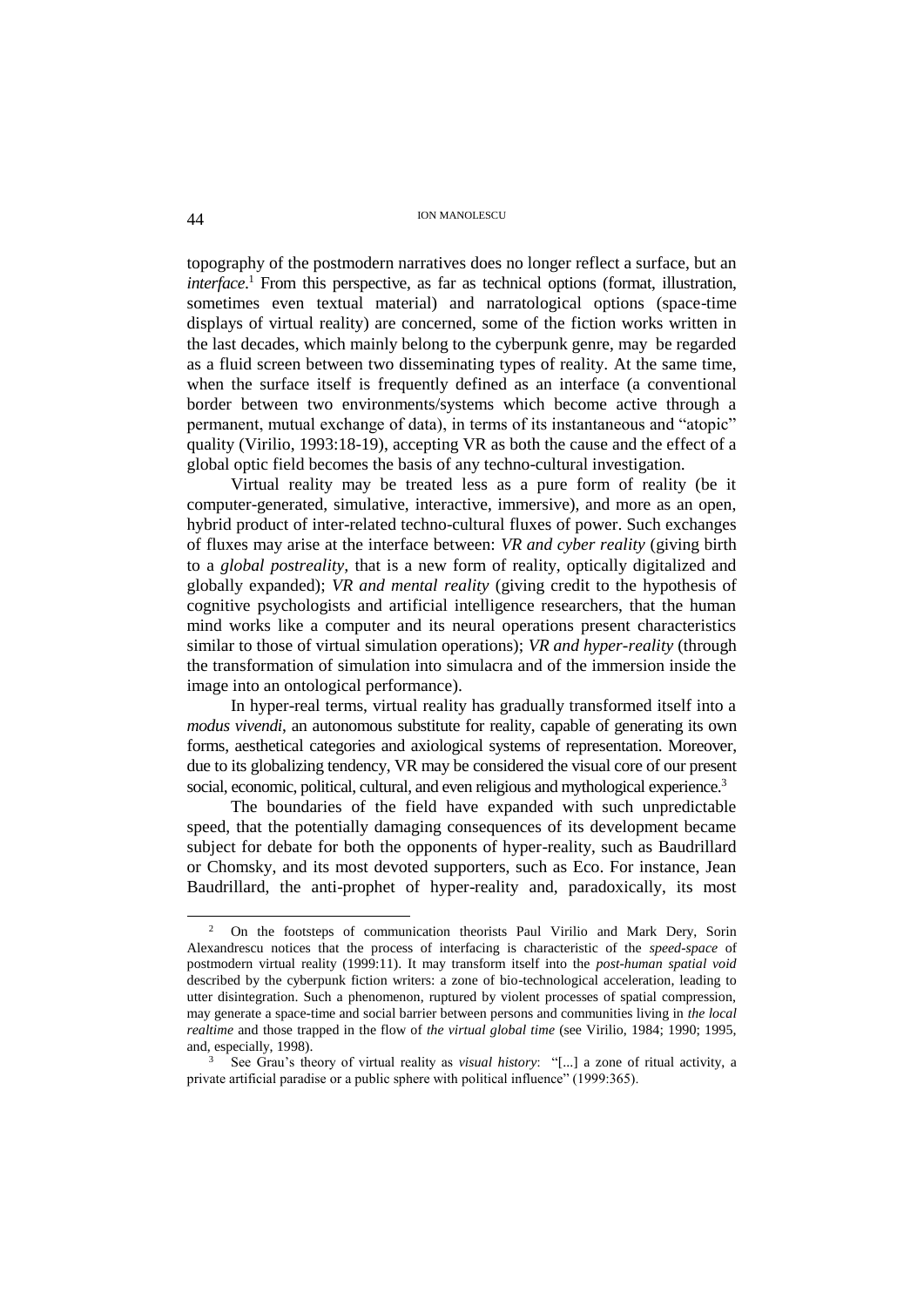## ION MANOLESCU 44

topography of the postmodern narratives does no longer reflect a surface, but an *interface*. <sup>1</sup> From this perspective, as far as technical options (format, illustration, sometimes even textual material) and narratological options (space-time displays of virtual reality) are concerned, some of the fiction works written in the last decades, which mainly belong to the cyberpunk genre, may be regarded as a fluid screen between two disseminating types of reality. At the same time, when the surface itself is frequently defined as an interface (a conventional border between two environments/systems which become active through a permanent, mutual exchange of data), in terms of its instantaneous and "atopic" quality (Virilio, 1993:18-19), accepting VR as both the cause and the effect of a global optic field becomes the basis of any techno-cultural investigation.

Virtual reality may be treated less as a pure form of reality (be it computer-generated, simulative, interactive, immersive), and more as an open, hybrid product of inter-related techno-cultural fluxes of power. Such exchanges of fluxes may arise at the interface between: *VR and cyber reality* (giving birth to a *global postreality,* that is a new form of reality, optically digitalized and globally expanded); *VR and mental reality* (giving credit to the hypothesis of cognitive psychologists and artificial intelligence researchers, that the human mind works like a computer and its neural operations present characteristics similar to those of virtual simulation operations); *VR and hyper-reality* (through the transformation of simulation into simulacra and of the immersion inside the image into an ontological performance).

In hyper-real terms, virtual reality has gradually transformed itself into a *modus vivendi*, an autonomous substitute for reality, capable of generating its own forms, aesthetical categories and axiological systems of representation. Moreover, due to its globalizing tendency, VR may be considered the visual core of our present social, economic, political, cultural, and even religious and mythological experience.<sup>3</sup>

The boundaries of the field have expanded with such unpredictable speed, that the potentially damaging consequences of its development became subject for debate for both the opponents of hyper-reality, such as Baudrillard or Chomsky, and its most devoted supporters, such as Eco. For instance, Jean Baudrillard, the anti-prophet of hyper-reality and, paradoxically, its most

<sup>&</sup>lt;sup>2</sup> On the footsteps of communication theorists Paul Virilio and Mark Dery, Sorin Alexandrescu notices that the process of interfacing is characteristic of the *speed-space* of postmodern virtual reality (1999:11). It may transform itself into the *post-human spatial void* described by the cyberpunk fiction writers: a zone of bio-technological acceleration, leading to utter disintegration. Such a phenomenon, ruptured by violent processes of spatial compression, may generate a space-time and social barrier between persons and communities living in *the local realtime* and those trapped in the flow of *the virtual global time* (see Virilio, 1984; 1990; 1995, and, especially, 1998).

<sup>3</sup> See Grau's theory of virtual reality as *visual history*: "[...] a zone of ritual activity, a private artificial paradise or a public sphere with political influence" (1999:365).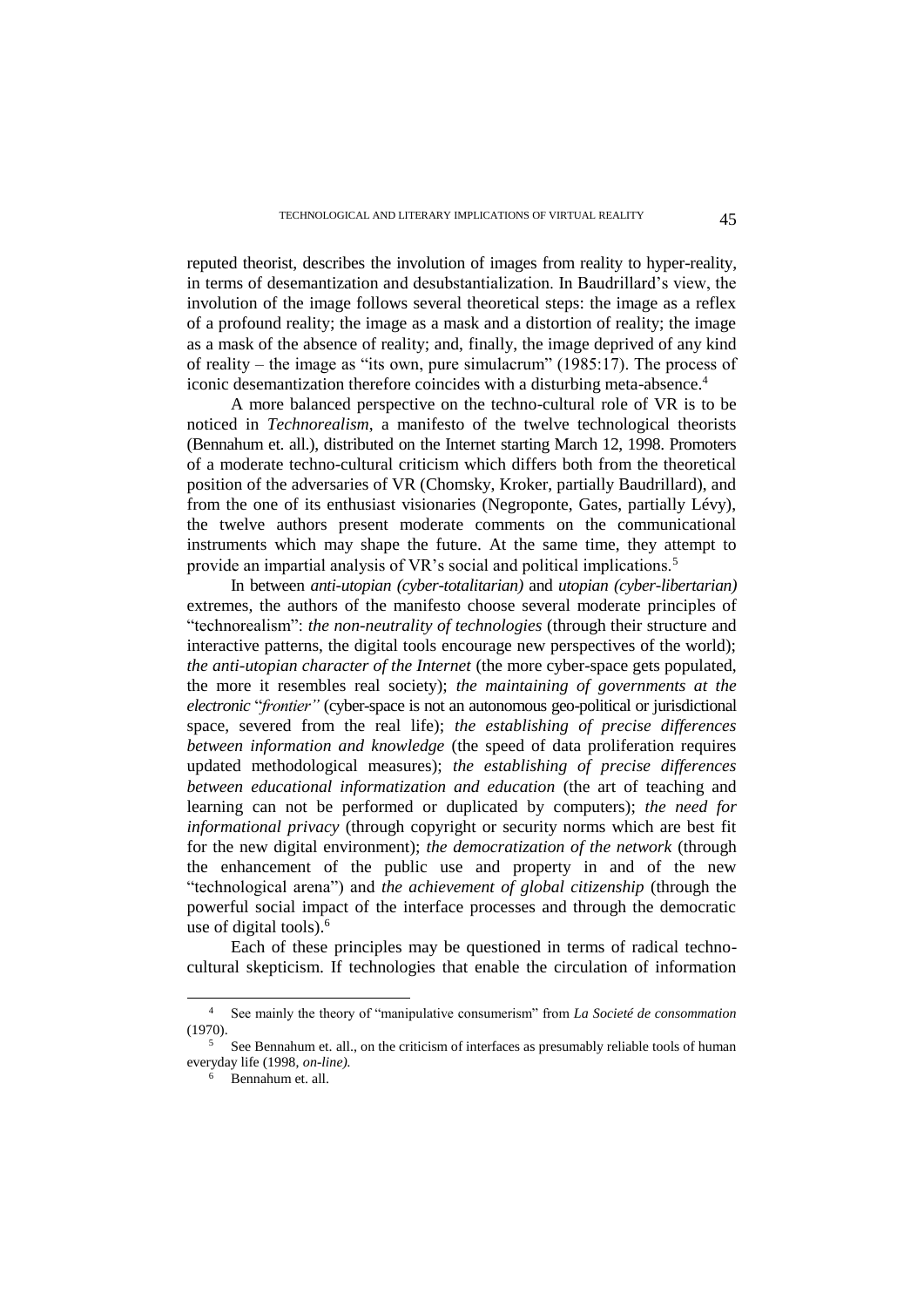reputed theorist, describes the involution of images from reality to hyper-reality, in terms of desemantization and desubstantialization. In Baudrillard's view, the involution of the image follows several theoretical steps: the image as a reflex of a profound reality; the image as a mask and a distortion of reality; the image as a mask of the absence of reality; and, finally, the image deprived of any kind of reality – the image as "its own, pure simulacrum" (1985:17). The process of iconic desemantization therefore coincides with a disturbing meta-absence.<sup>4</sup>

A more balanced perspective on the techno-cultural role of VR is to be noticed in *Technorealism*, a manifesto of the twelve technological theorists (Bennahum et. all.), distributed on the Internet starting March 12, 1998. Promoters of a moderate techno-cultural criticism which differs both from the theoretical position of the adversaries of VR (Chomsky, Kroker, partially Baudrillard), and from the one of its enthusiast visionaries (Negroponte, Gates, partially Lévy), the twelve authors present moderate comments on the communicational instruments which may shape the future. At the same time, they attempt to provide an impartial analysis of VR's social and political implications.<sup>5</sup>

In between *anti-utopian (cyber-totalitarian)* and *utopian (cyber-libertarian)* extremes*,* the authors of the manifesto choose several moderate principles of "technorealism": *the non-neutrality of technologies* (through their structure and interactive patterns, the digital tools encourage new perspectives of the world); *the anti-utopian character of the Internet* (the more cyber-space gets populated, the more it resembles real society); *the maintaining of governments at the electronic* "*frontier"* (cyber-space is not an autonomous geo-political or jurisdictional space, severed from the real life); *the establishing of precise differences between information and knowledge* (the speed of data proliferation requires updated methodological measures); *the establishing of precise differences between educational informatization and education* (the art of teaching and learning can not be performed or duplicated by computers); *the need for informational privacy* (through copyright or security norms which are best fit for the new digital environment); *the democratization of the network* (through the enhancement of the public use and property in and of the new "technological arena") and *the achievement of global citizenship* (through the powerful social impact of the interface processes and through the democratic use of digital tools). $6$ 

Each of these principles may be questioned in terms of radical technocultural skepticism. If technologies that enable the circulation of information

 $\overline{\phantom{a}}$ 

<sup>4</sup> See mainly the theory of "manipulative consumerism" from *La Societé de consommation* (1970).

<sup>&</sup>lt;sup>5</sup> See Bennahum et. all., on the criticism of interfaces as presumably reliable tools of human everyday life (1998, *on-line).*

Bennahum et. all.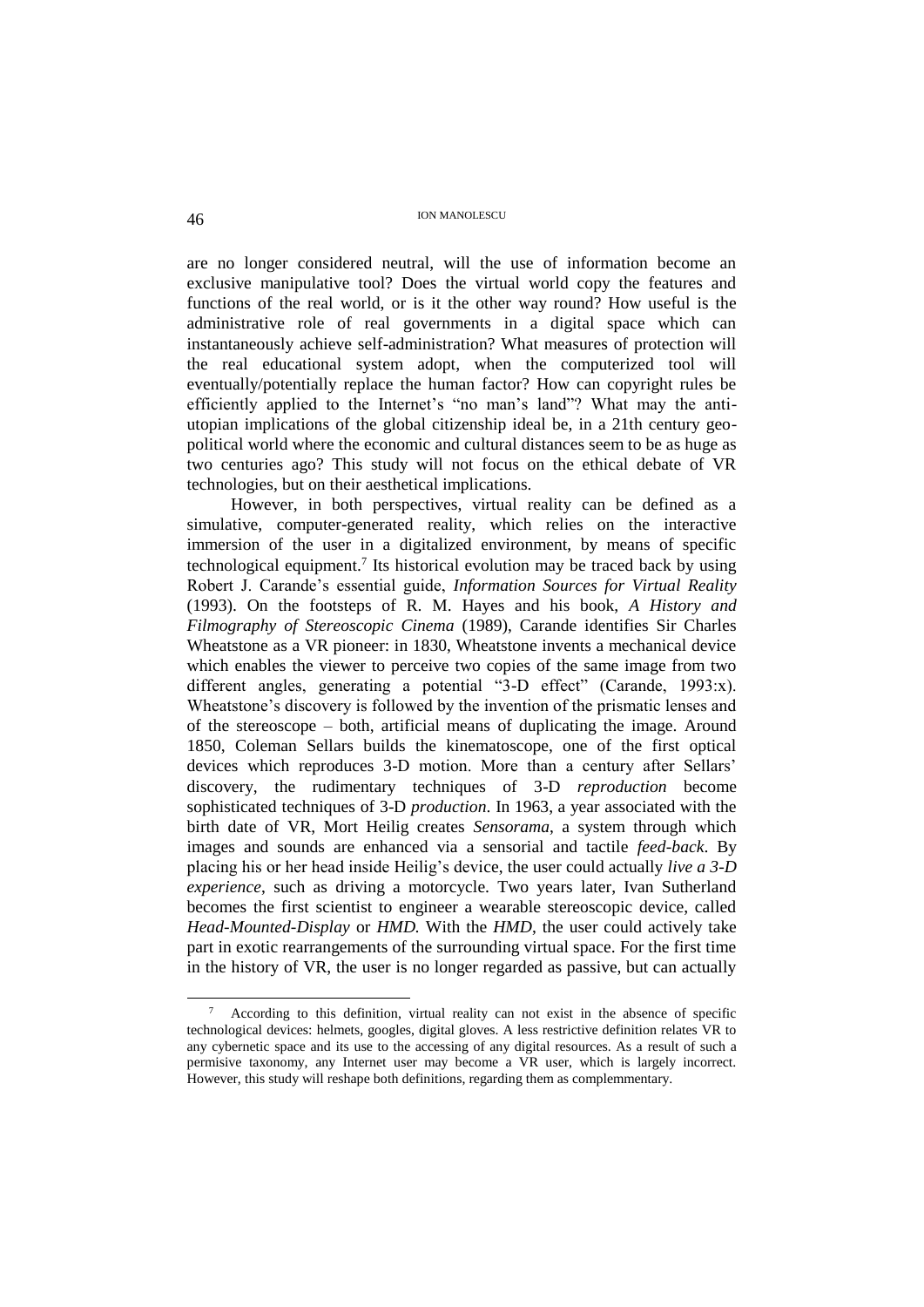are no longer considered neutral, will the use of information become an exclusive manipulative tool? Does the virtual world copy the features and functions of the real world, or is it the other way round? How useful is the administrative role of real governments in a digital space which can instantaneously achieve self-administration? What measures of protection will the real educational system adopt, when the computerized tool will eventually/potentially replace the human factor? How can copyright rules be efficiently applied to the Internet's "no man's land"? What may the antiutopian implications of the global citizenship ideal be, in a 21th century geopolitical world where the economic and cultural distances seem to be as huge as two centuries ago? This study will not focus on the ethical debate of VR technologies, but on their aesthetical implications.

However, in both perspectives, virtual reality can be defined as a simulative, computer-generated reality, which relies on the interactive immersion of the user in a digitalized environment, by means of specific technological equipment.<sup>7</sup> Its historical evolution may be traced back by using Robert J. Carande's essential guide, *Information Sources for Virtual Reality* (1993). On the footsteps of R. M. Hayes and his book, *A History and Filmography of Stereoscopic Cinema* (1989), Carande identifies Sir Charles Wheatstone as a VR pioneer: in 1830, Wheatstone invents a mechanical device which enables the viewer to perceive two copies of the same image from two different angles, generating a potential "3-D effect" (Carande, 1993:x). Wheatstone's discovery is followed by the invention of the prismatic lenses and of the stereoscope – both, artificial means of duplicating the image. Around 1850, Coleman Sellars builds the kinematoscope, one of the first optical devices which reproduces 3-D motion. More than a century after Sellars' discovery, the rudimentary techniques of 3-D *reproduction* become sophisticated techniques of 3-D *production*. In 1963, a year associated with the birth date of VR, Mort Heilig creates *Sensorama*, a system through which images and sounds are enhanced via a sensorial and tactile *feed-back*. By placing his or her head inside Heilig's device, the user could actually *live a 3-D experience*, such as driving a motorcycle. Two years later, Ivan Sutherland becomes the first scientist to engineer a wearable stereoscopic device, called *Head-Mounted-Display* or *HMD.* With the *HMD*, the user could actively take part in exotic rearrangements of the surrounding virtual space. For the first time in the history of VR, the user is no longer regarded as passive, but can actually

 $\overline{\phantom{a}}$ 

<sup>7</sup> According to this definition, virtual reality can not exist in the absence of specific technological devices: helmets, googles, digital gloves. A less restrictive definition relates VR to any cybernetic space and its use to the accessing of any digital resources. As a result of such a permisive taxonomy, any Internet user may become a VR user, which is largely incorrect. However, this study will reshape both definitions, regarding them as complemmentary.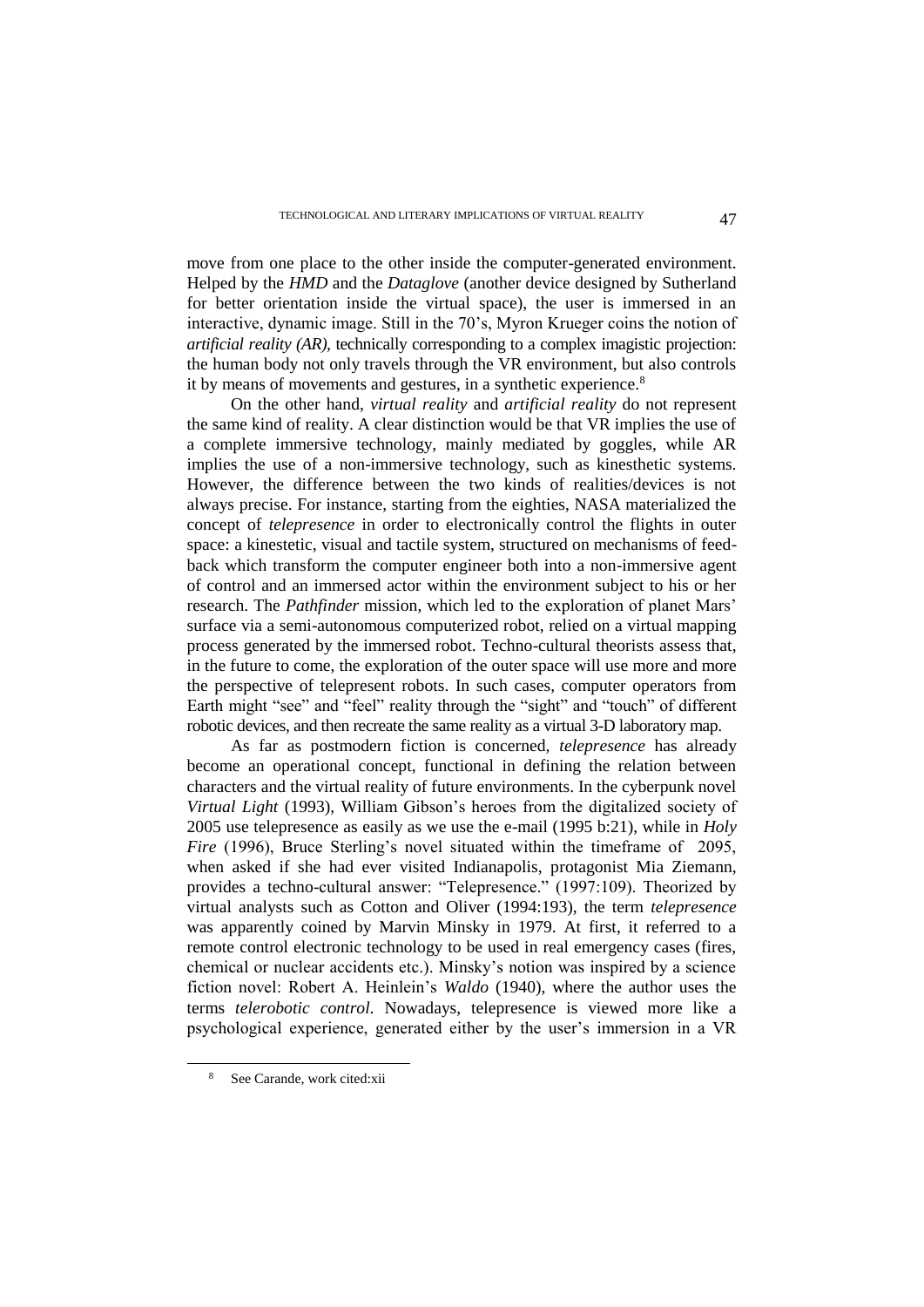move from one place to the other inside the computer-generated environment. Helped by the *HMD* and the *Dataglove* (another device designed by Sutherland for better orientation inside the virtual space), the user is immersed in an interactive, dynamic image. Still in the 70's, Myron Krueger coins the notion of *artificial reality (AR),* technically corresponding to a complex imagistic projection: the human body not only travels through the VR environment, but also controls it by means of movements and gestures, in a synthetic experience.<sup>8</sup>

On the other hand, *virtual reality* and *artificial reality* do not represent the same kind of reality. A clear distinction would be that VR implies the use of a complete immersive technology, mainly mediated by goggles, while AR implies the use of a non-immersive technology, such as kinesthetic systems. However, the difference between the two kinds of realities/devices is not always precise. For instance, starting from the eighties, NASA materialized the concept of *telepresence* in order to electronically control the flights in outer space: a kinestetic, visual and tactile system, structured on mechanisms of feedback which transform the computer engineer both into a non-immersive agent of control and an immersed actor within the environment subject to his or her research. The *Pathfinder* mission, which led to the exploration of planet Mars' surface via a semi-autonomous computerized robot, relied on a virtual mapping process generated by the immersed robot. Techno-cultural theorists assess that, in the future to come, the exploration of the outer space will use more and more the perspective of telepresent robots. In such cases, computer operators from Earth might "see" and "feel" reality through the "sight" and "touch" of different robotic devices, and then recreate the same reality as a virtual 3-D laboratory map.

As far as postmodern fiction is concerned, *telepresence* has already become an operational concept, functional in defining the relation between characters and the virtual reality of future environments. In the cyberpunk novel *Virtual Light* (1993), William Gibson's heroes from the digitalized society of 2005 use telepresence as easily as we use the e-mail (1995 b:21), while in *Holy Fire* (1996), Bruce Sterling's novel situated within the timeframe of 2095, when asked if she had ever visited Indianapolis, protagonist Mia Ziemann, provides a techno-cultural answer: "Telepresence." (1997:109). Theorized by virtual analysts such as Cotton and Oliver (1994:193), the term *telepresence*  was apparently coined by Marvin Minsky in 1979. At first, it referred to a remote control electronic technology to be used in real emergency cases (fires, chemical or nuclear accidents etc.). Minsky's notion was inspired by a science fiction novel: Robert A. Heinlein's *Waldo* (1940), where the author uses the terms *telerobotic control.* Nowadays, telepresence is viewed more like a psychological experience, generated either by the user's immersion in a VR

See Carande, work cited:xii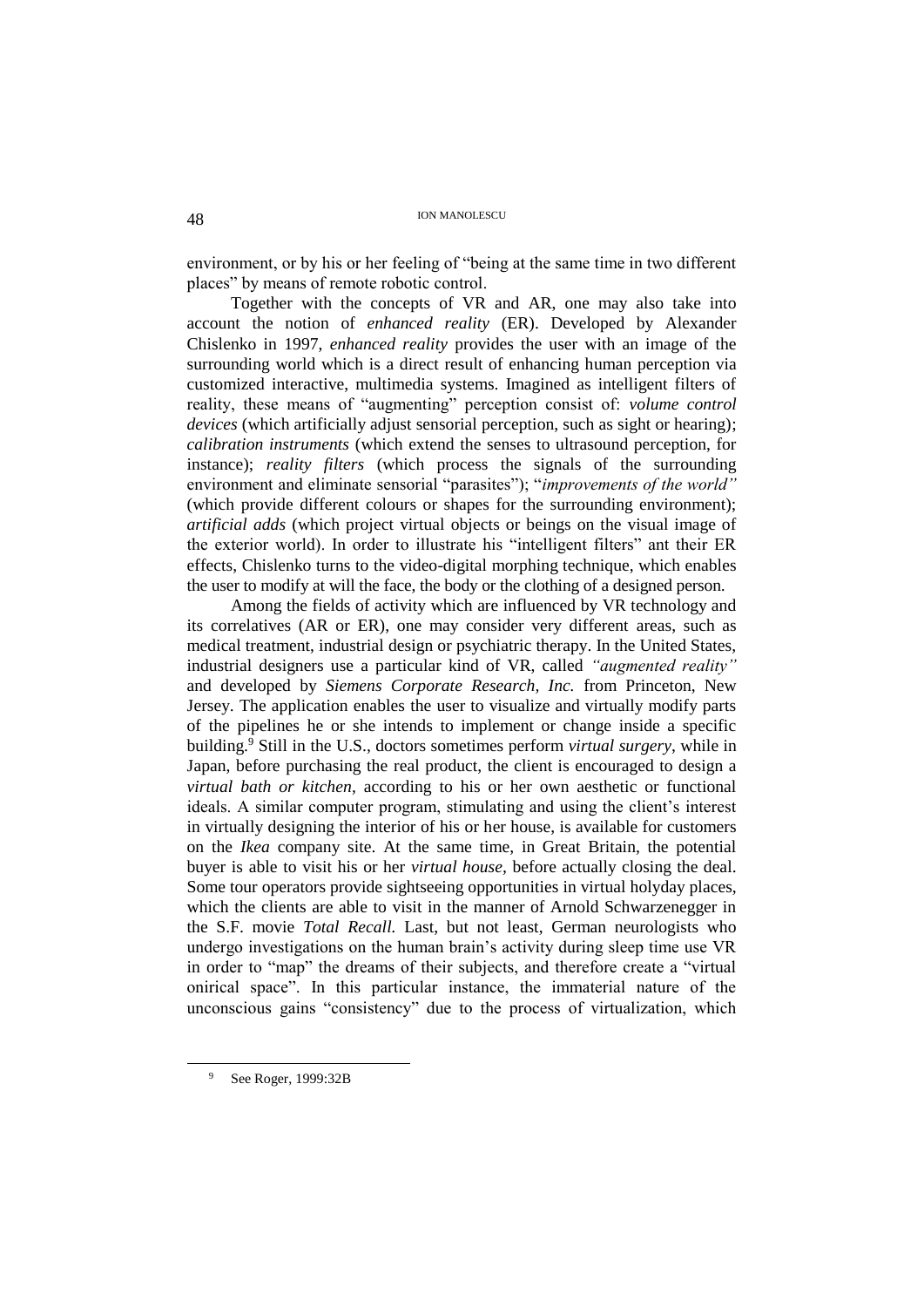environment, or by his or her feeling of "being at the same time in two different places" by means of remote robotic control.

Together with the concepts of VR and AR, one may also take into account the notion of *enhanced reality* (ER). Developed by Alexander Chislenko in 1997, *enhanced reality* provides the user with an image of the surrounding world which is a direct result of enhancing human perception via customized interactive, multimedia systems. Imagined as intelligent filters of reality, these means of "augmenting" perception consist of: *volume control devices* (which artificially adjust sensorial perception, such as sight or hearing); *calibration instruments* (which extend the senses to ultrasound perception, for instance); *reality filters* (which process the signals of the surrounding environment and eliminate sensorial "parasites"); "*improvements of the world"* (which provide different colours or shapes for the surrounding environment); *artificial adds* (which project virtual objects or beings on the visual image of the exterior world). In order to illustrate his "intelligent filters" ant their ER effects, Chislenko turns to the video-digital morphing technique, which enables the user to modify at will the face, the body or the clothing of a designed person.

Among the fields of activity which are influenced by VR technology and its correlatives (AR or ER), one may consider very different areas, such as medical treatment, industrial design or psychiatric therapy. In the United States, industrial designers use a particular kind of VR, called *"augmented reality"*  and developed by *Siemens Corporate Research, Inc.* from Princeton, New Jersey. The application enables the user to visualize and virtually modify parts of the pipelines he or she intends to implement or change inside a specific building.<sup>9</sup> Still in the U.S., doctors sometimes perform *virtual surgery*, while in Japan, before purchasing the real product, the client is encouraged to design a *virtual bath or kitchen*, according to his or her own aesthetic or functional ideals. A similar computer program, stimulating and using the client's interest in virtually designing the interior of his or her house, is available for customers on the *Ikea* company site. At the same time, in Great Britain, the potential buyer is able to visit his or her *virtual house,* before actually closing the deal. Some tour operators provide sightseeing opportunities in virtual holyday places, which the clients are able to visit in the manner of Arnold Schwarzenegger in the S.F. movie *Total Recall.* Last, but not least, German neurologists who undergo investigations on the human brain's activity during sleep time use VR in order to "map" the dreams of their subjects, and therefore create a "virtual onirical space". In this particular instance, the immaterial nature of the unconscious gains "consistency" due to the process of virtualization, which

See Roger, 1999:32B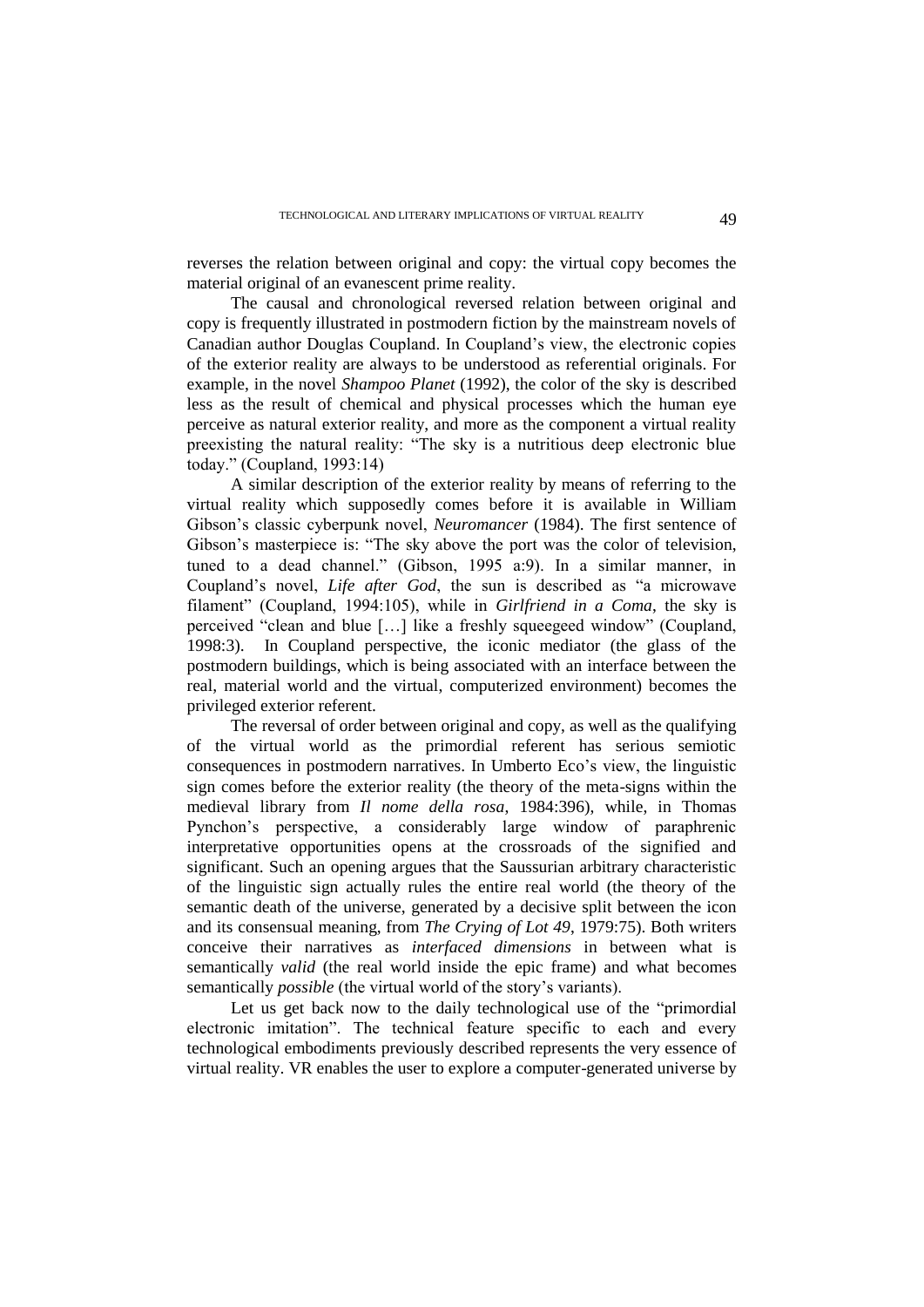reverses the relation between original and copy: the virtual copy becomes the material original of an evanescent prime reality.

The causal and chronological reversed relation between original and copy is frequently illustrated in postmodern fiction by the mainstream novels of Canadian author Douglas Coupland. In Coupland's view, the electronic copies of the exterior reality are always to be understood as referential originals. For example, in the novel *Shampoo Planet* (1992), the color of the sky is described less as the result of chemical and physical processes which the human eye perceive as natural exterior reality, and more as the component a virtual reality preexisting the natural reality: "The sky is a nutritious deep electronic blue today." (Coupland, 1993:14)

A similar description of the exterior reality by means of referring to the virtual reality which supposedly comes before it is available in William Gibson's classic cyberpunk novel, *Neuromancer* (1984). The first sentence of Gibson's masterpiece is: "The sky above the port was the color of television, tuned to a dead channel." (Gibson, 1995 a:9). In a similar manner, in Coupland's novel, *Life after God*, the sun is described as "a microwave filament" (Coupland, 1994:105), while in *Girlfriend in a Coma*, the sky is perceived "clean and blue […] like a freshly squeegeed window" (Coupland, 1998:3). In Coupland perspective, the iconic mediator (the glass of the postmodern buildings, which is being associated with an interface between the real, material world and the virtual, computerized environment) becomes the privileged exterior referent.

The reversal of order between original and copy, as well as the qualifying of the virtual world as the primordial referent has serious semiotic consequences in postmodern narratives. In Umberto Eco's view, the linguistic sign comes before the exterior reality (the theory of the meta-signs within the medieval library from *Il nome della rosa*, 1984:396), while, in Thomas Pynchon's perspective, a considerably large window of paraphrenic interpretative opportunities opens at the crossroads of the signified and significant. Such an opening argues that the Saussurian arbitrary characteristic of the linguistic sign actually rules the entire real world (the theory of the semantic death of the universe, generated by a decisive split between the icon and its consensual meaning, from *The Crying of Lot 49*, 1979:75). Both writers conceive their narratives as *interfaced dimensions* in between what is semantically *valid* (the real world inside the epic frame) and what becomes semantically *possible* (the virtual world of the story's variants).

Let us get back now to the daily technological use of the "primordial electronic imitation". The technical feature specific to each and every technological embodiments previously described represents the very essence of virtual reality. VR enables the user to explore a computer-generated universe by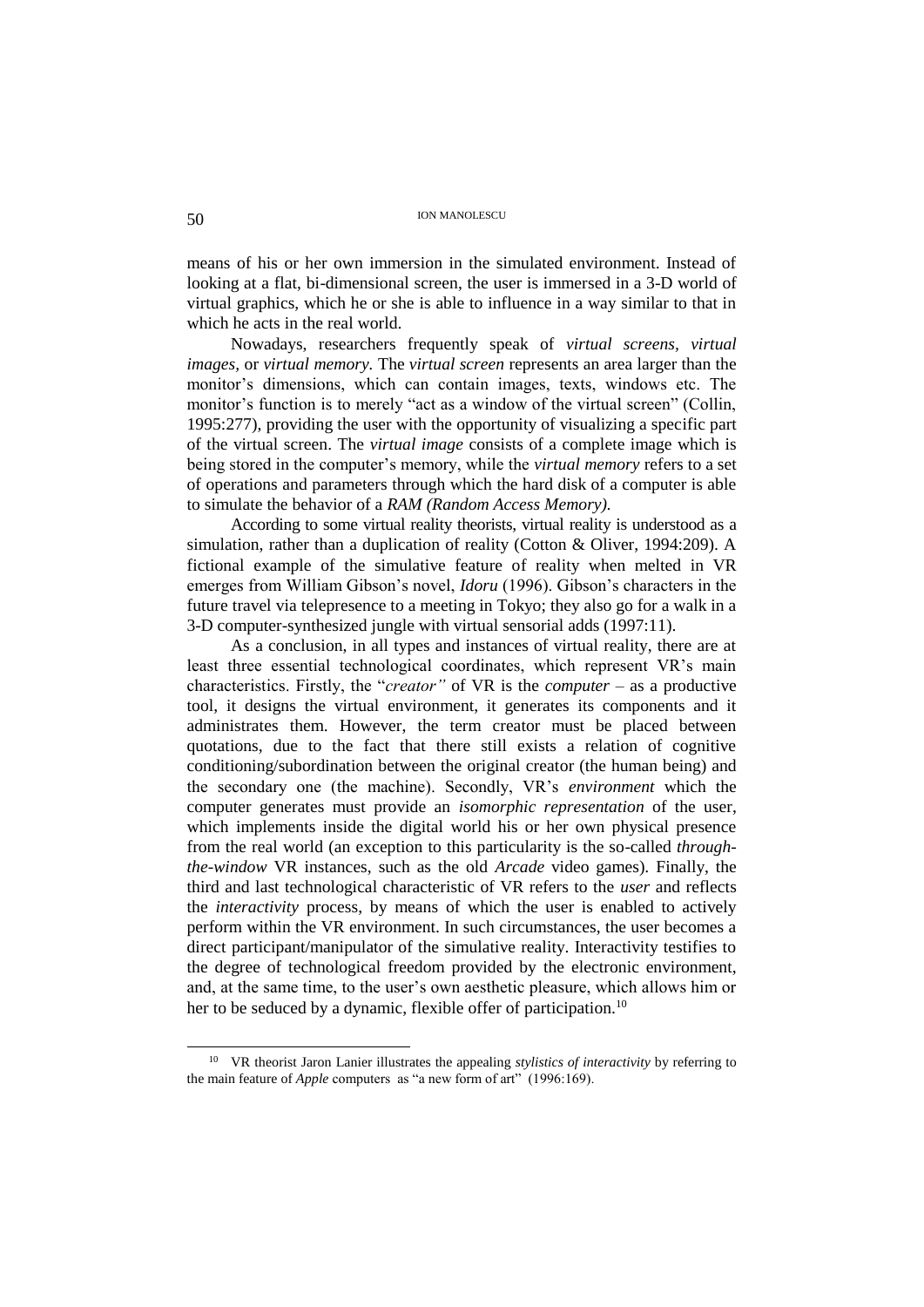means of his or her own immersion in the simulated environment. Instead of looking at a flat, bi-dimensional screen, the user is immersed in a 3-D world of virtual graphics, which he or she is able to influence in a way similar to that in which he acts in the real world.

Nowadays, researchers frequently speak of *virtual screens, virtual images,* or *virtual memory.* The *virtual screen* represents an area larger than the monitor's dimensions, which can contain images, texts, windows etc. The monitor's function is to merely "act as a window of the virtual screen" (Collin, 1995:277), providing the user with the opportunity of visualizing a specific part of the virtual screen. The *virtual image* consists of a complete image which is being stored in the computer's memory, while the *virtual memory* refers to a set of operations and parameters through which the hard disk of a computer is able to simulate the behavior of a *RAM (Random Access Memory).*

According to some virtual reality theorists, virtual reality is understood as a simulation, rather than a duplication of reality (Cotton & Oliver, 1994:209). A fictional example of the simulative feature of reality when melted in VR emerges from William Gibson's novel, *Idoru* (1996). Gibson's characters in the future travel via telepresence to a meeting in Tokyo; they also go for a walk in a 3-D computer-synthesized jungle with virtual sensorial adds (1997:11).

As a conclusion, in all types and instances of virtual reality, there are at least three essential technological coordinates, which represent VR's main characteristics. Firstly, the "*creator"* of VR is the *computer* – as a productive tool, it designs the virtual environment, it generates its components and it administrates them. However, the term creator must be placed between quotations, due to the fact that there still exists a relation of cognitive conditioning/subordination between the original creator (the human being) and the secondary one (the machine). Secondly, VR's *environment* which the computer generates must provide an *isomorphic representation* of the user, which implements inside the digital world his or her own physical presence from the real world (an exception to this particularity is the so-called *throughthe-window* VR instances, such as the old *Arcade* video games)*.* Finally, the third and last technological characteristic of VR refers to the *user* and reflects the *interactivity* process, by means of which the user is enabled to actively perform within the VR environment. In such circumstances, the user becomes a direct participant/manipulator of the simulative reality. Interactivity testifies to the degree of technological freedom provided by the electronic environment, and, at the same time, to the user's own aesthetic pleasure, which allows him or her to be seduced by a dynamic, flexible offer of participation.<sup>10</sup>

<sup>10</sup> VR theorist Jaron Lanier illustrates the appealing *stylistics of interactivity* by referring to the main feature of *Apple* computers as "a new form of art" (1996:169).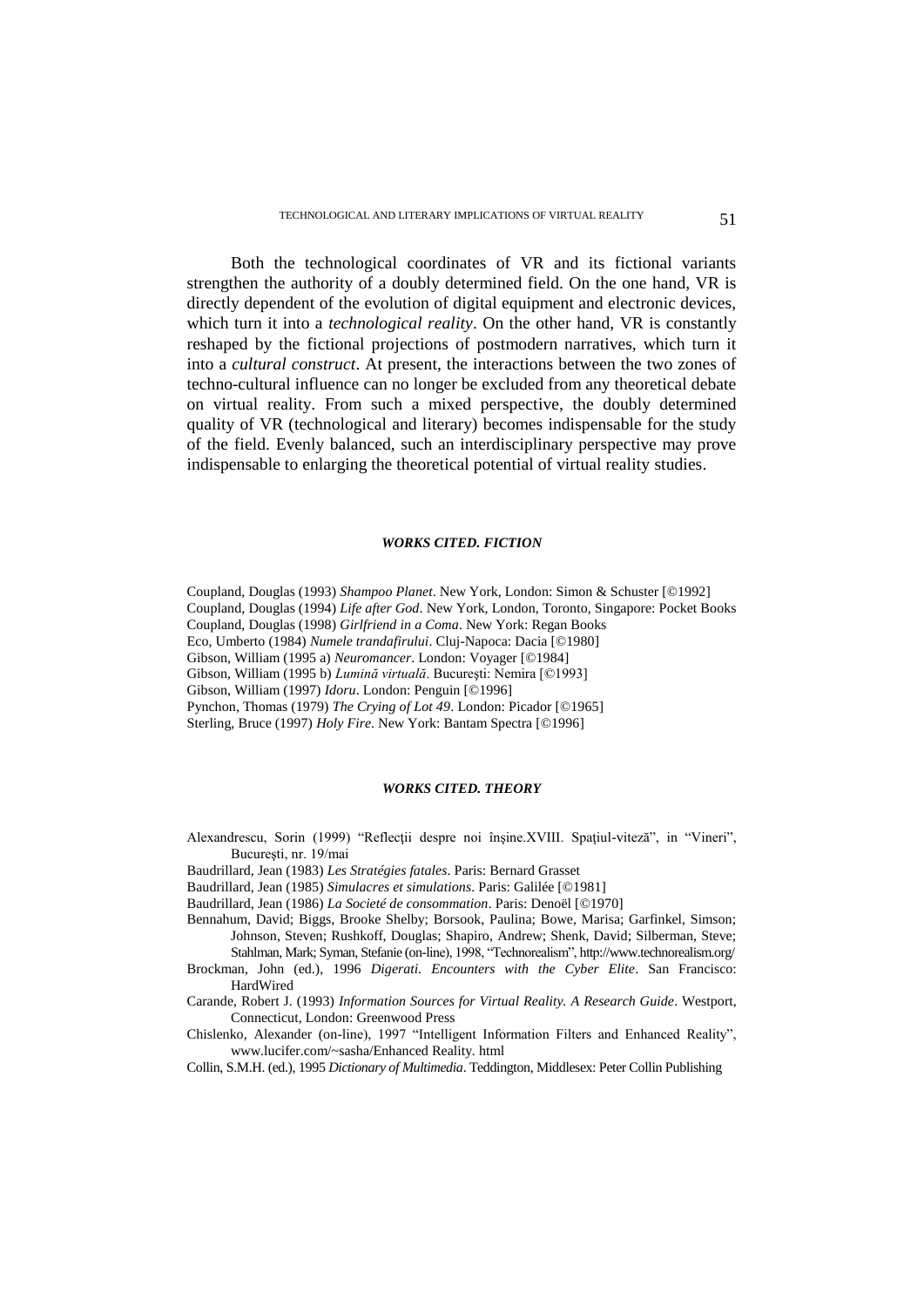Both the technological coordinates of VR and its fictional variants strengthen the authority of a doubly determined field. On the one hand, VR is directly dependent of the evolution of digital equipment and electronic devices, which turn it into a *technological reality*. On the other hand, VR is constantly reshaped by the fictional projections of postmodern narratives, which turn it into a *cultural construct*. At present, the interactions between the two zones of techno-cultural influence can no longer be excluded from any theoretical debate on virtual reality. From such a mixed perspective, the doubly determined quality of VR (technological and literary) becomes indispensable for the study of the field. Evenly balanced, such an interdisciplinary perspective may prove indispensable to enlarging the theoretical potential of virtual reality studies.

#### *WORKS CITED. FICTION*

Coupland, Douglas (1993) *Shampoo Planet*. New York, London: Simon & Schuster [©1992]

Coupland, Douglas (1994) *Life after God*. New York, London, Toronto, Singapore: Pocket Books

Coupland, Douglas (1998) *Girlfriend in a Coma*. New York: Regan Books

Eco, Umberto (1984) *Numele trandafirului*. Cluj-Napoca: Dacia [©1980]

Gibson, William (1995 a) *Neuromancer*. London: Voyager [©1984]

Gibson, William (1995 b) *Lumină virtuală*. Bucureşti: Nemira [©1993]

Gibson, William (1997) *Idoru*. London: Penguin [©1996]

Pynchon, Thomas (1979) *The Crying of Lot 49*. London: Picador [©1965]

Sterling, Bruce (1997) *Holy Fire*. New York: Bantam Spectra [©1996]

### *WORKS CITED. THEORY*

- Alexandrescu, Sorin (1999) "Reflecţii despre noi înşine.XVIII. Spaţiul-viteză", in "Vineri", Bucureşti, nr. 19/mai
- Baudrillard, Jean (1983) *Les Stratégies fatales*. Paris: Bernard Grasset

Baudrillard, Jean (1985) *Simulacres et simulations*. Paris: Galilée [©1981]

Baudrillard, Jean (1986) *La Societé de consommation*. Paris: Denoël [©1970]

Bennahum, David; Biggs, Brooke Shelby; Borsook, Paulina; Bowe, Marisa; Garfinkel, Simson; Johnson, Steven; Rushkoff, Douglas; Shapiro, Andrew; Shenk, David; Silberman, Steve; Stahlman, Mark; Syman, Stefanie (on-line), 1998, "Technorealism", http://www.technorealism.org/

Brockman, John (ed.), 1996 *Digerati. Encounters with the Cyber Elite*. San Francisco: HardWired

- Carande, Robert J. (1993) *Information Sources for Virtual Reality. A Research Guide*. Westport, Connecticut, London: Greenwood Press
- Chislenko, Alexander (on-line), 1997 "Intelligent Information Filters and Enhanced Reality", www.lucifer.com/~sasha/Enhanced Reality. html
- Collin, S.M.H. (ed.), 1995 *Dictionary of Multimedia*. Teddington, Middlesex: Peter Collin Publishing